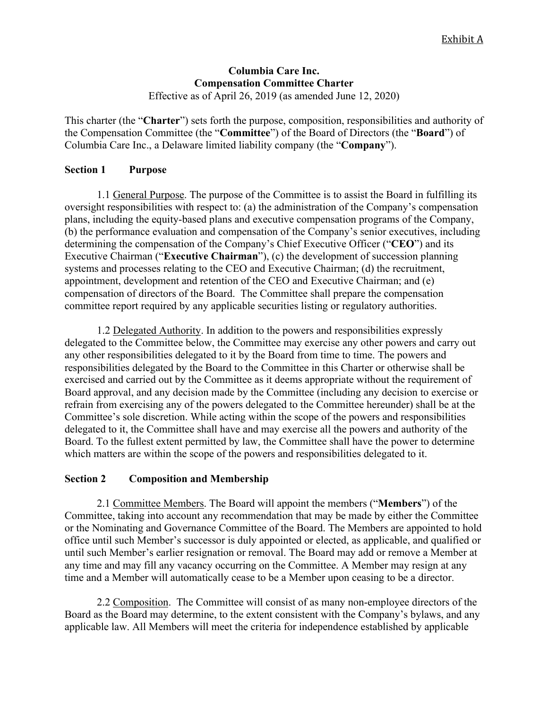### **Columbia Care Inc. Compensation Committee Charter** Effective as of April 26, 2019 (as amended June 12, 2020)

This charter (the "**Charter**") sets forth the purpose, composition, responsibilities and authority of the Compensation Committee (the "**Committee**") of the Board of Directors (the "**Board**") of Columbia Care Inc., a Delaware limited liability company (the "**Company**").

# **Section 1 Purpose**

1.1 General Purpose. The purpose of the Committee is to assist the Board in fulfilling its oversight responsibilities with respect to: (a) the administration of the Company's compensation plans, including the equity-based plans and executive compensation programs of the Company, (b) the performance evaluation and compensation of the Company's senior executives, including determining the compensation of the Company's Chief Executive Officer ("**CEO**") and its Executive Chairman ("**Executive Chairman**"), (c) the development of succession planning systems and processes relating to the CEO and Executive Chairman; (d) the recruitment, appointment, development and retention of the CEO and Executive Chairman; and (e) compensation of directors of the Board. The Committee shall prepare the compensation committee report required by any applicable securities listing or regulatory authorities.

1.2 Delegated Authority. In addition to the powers and responsibilities expressly delegated to the Committee below, the Committee may exercise any other powers and carry out any other responsibilities delegated to it by the Board from time to time. The powers and responsibilities delegated by the Board to the Committee in this Charter or otherwise shall be exercised and carried out by the Committee as it deems appropriate without the requirement of Board approval, and any decision made by the Committee (including any decision to exercise or refrain from exercising any of the powers delegated to the Committee hereunder) shall be at the Committee's sole discretion. While acting within the scope of the powers and responsibilities delegated to it, the Committee shall have and may exercise all the powers and authority of the Board. To the fullest extent permitted by law, the Committee shall have the power to determine which matters are within the scope of the powers and responsibilities delegated to it.

## **Section 2 Composition and Membership**

2.1 Committee Members. The Board will appoint the members ("**Members**") of the Committee, taking into account any recommendation that may be made by either the Committee or the Nominating and Governance Committee of the Board. The Members are appointed to hold office until such Member's successor is duly appointed or elected, as applicable, and qualified or until such Member's earlier resignation or removal. The Board may add or remove a Member at any time and may fill any vacancy occurring on the Committee. A Member may resign at any time and a Member will automatically cease to be a Member upon ceasing to be a director.

2.2 Composition. The Committee will consist of as many non-employee directors of the Board as the Board may determine, to the extent consistent with the Company's bylaws, and any applicable law. All Members will meet the criteria for independence established by applicable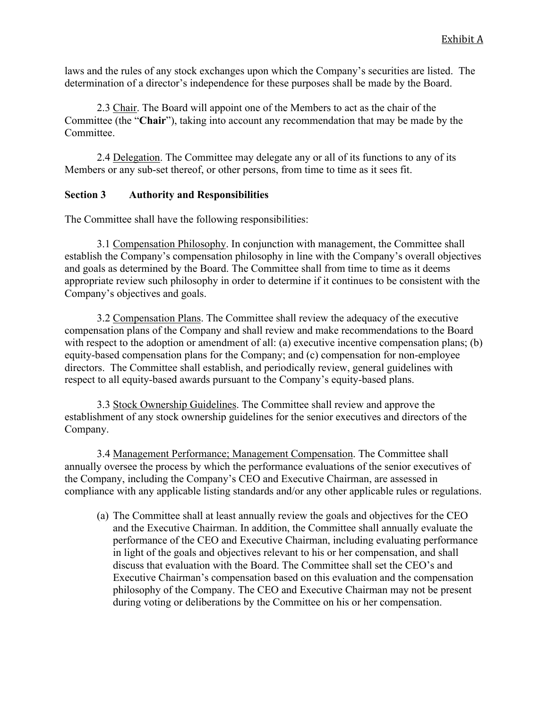laws and the rules of any stock exchanges upon which the Company's securities are listed. The determination of a director's independence for these purposes shall be made by the Board.

2.3 Chair. The Board will appoint one of the Members to act as the chair of the Committee (the "**Chair**"), taking into account any recommendation that may be made by the Committee.

2.4 Delegation. The Committee may delegate any or all of its functions to any of its Members or any sub-set thereof, or other persons, from time to time as it sees fit.

# **Section 3 Authority and Responsibilities**

The Committee shall have the following responsibilities:

3.1 Compensation Philosophy. In conjunction with management, the Committee shall establish the Company's compensation philosophy in line with the Company's overall objectives and goals as determined by the Board. The Committee shall from time to time as it deems appropriate review such philosophy in order to determine if it continues to be consistent with the Company's objectives and goals.

3.2 Compensation Plans. The Committee shall review the adequacy of the executive compensation plans of the Company and shall review and make recommendations to the Board with respect to the adoption or amendment of all: (a) executive incentive compensation plans; (b) equity-based compensation plans for the Company; and (c) compensation for non-employee directors. The Committee shall establish, and periodically review, general guidelines with respect to all equity-based awards pursuant to the Company's equity-based plans.

3.3 Stock Ownership Guidelines. The Committee shall review and approve the establishment of any stock ownership guidelines for the senior executives and directors of the Company.

3.4 Management Performance; Management Compensation. The Committee shall annually oversee the process by which the performance evaluations of the senior executives of the Company, including the Company's CEO and Executive Chairman, are assessed in compliance with any applicable listing standards and/or any other applicable rules or regulations.

(a) The Committee shall at least annually review the goals and objectives for the CEO and the Executive Chairman. In addition, the Committee shall annually evaluate the performance of the CEO and Executive Chairman, including evaluating performance in light of the goals and objectives relevant to his or her compensation, and shall discuss that evaluation with the Board. The Committee shall set the CEO's and Executive Chairman's compensation based on this evaluation and the compensation philosophy of the Company. The CEO and Executive Chairman may not be present during voting or deliberations by the Committee on his or her compensation.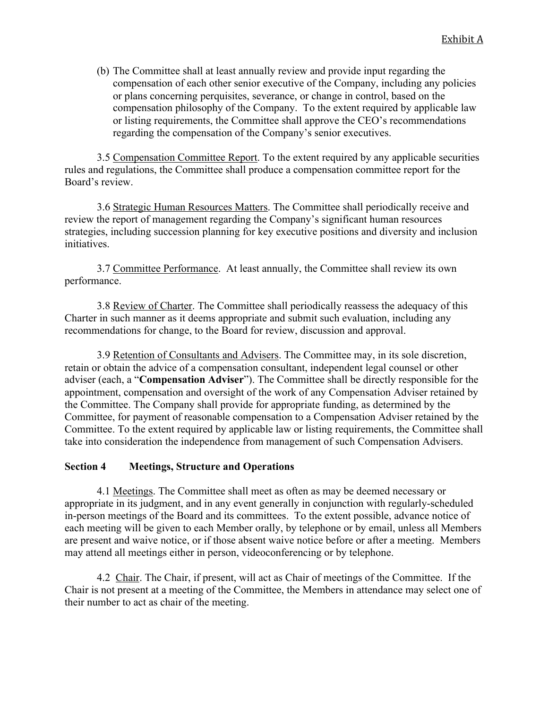(b) The Committee shall at least annually review and provide input regarding the compensation of each other senior executive of the Company, including any policies or plans concerning perquisites, severance, or change in control, based on the compensation philosophy of the Company. To the extent required by applicable law or listing requirements, the Committee shall approve the CEO's recommendations regarding the compensation of the Company's senior executives.

3.5 Compensation Committee Report. To the extent required by any applicable securities rules and regulations, the Committee shall produce a compensation committee report for the Board's review.

3.6 Strategic Human Resources Matters. The Committee shall periodically receive and review the report of management regarding the Company's significant human resources strategies, including succession planning for key executive positions and diversity and inclusion initiatives.

3.7 Committee Performance. At least annually, the Committee shall review its own performance.

3.8 Review of Charter. The Committee shall periodically reassess the adequacy of this Charter in such manner as it deems appropriate and submit such evaluation, including any recommendations for change, to the Board for review, discussion and approval.

3.9 Retention of Consultants and Advisers. The Committee may, in its sole discretion, retain or obtain the advice of a compensation consultant, independent legal counsel or other adviser (each, a "**Compensation Adviser**"). The Committee shall be directly responsible for the appointment, compensation and oversight of the work of any Compensation Adviser retained by the Committee. The Company shall provide for appropriate funding, as determined by the Committee, for payment of reasonable compensation to a Compensation Adviser retained by the Committee. To the extent required by applicable law or listing requirements, the Committee shall take into consideration the independence from management of such Compensation Advisers.

#### **Section 4 Meetings, Structure and Operations**

4.1 Meetings. The Committee shall meet as often as may be deemed necessary or appropriate in its judgment, and in any event generally in conjunction with regularly-scheduled in-person meetings of the Board and its committees. To the extent possible, advance notice of each meeting will be given to each Member orally, by telephone or by email, unless all Members are present and waive notice, or if those absent waive notice before or after a meeting. Members may attend all meetings either in person, videoconferencing or by telephone.

4.2 Chair. The Chair, if present, will act as Chair of meetings of the Committee. If the Chair is not present at a meeting of the Committee, the Members in attendance may select one of their number to act as chair of the meeting.